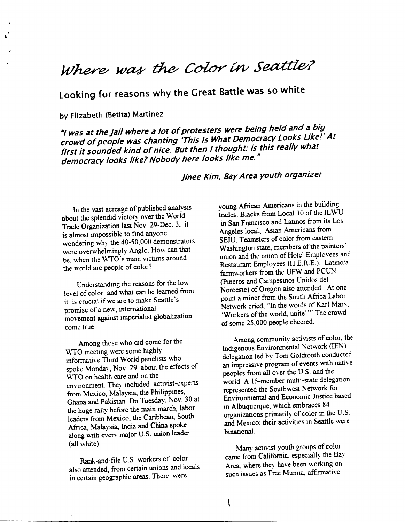## Where was the Color in Seattle?

Looking for reasons why the Great Battle was so white

## by Elizabeth (Betita) Martinez

÷,

"I was at the jail where a lot of protesters were being held and a big crowd of people was chanting 'This Is What Democracy Looks Like!' At first it sounded kind of nice. But then I thought: is this really what democracy looks like? Nobody here looks like me."

Jinee Kim, Bay Area youth organizer

Trade Organization last Nov. 29-Dec. 3, it is almost impossible to find anyone wondering why the 40-50,000 demonstrators SEIU. Teamsters of color from eastern<br>washington state: members of the painters were overwhelmingly Anglo. How can that Washington state, members of the painters<br>he when the WTO's main victims around union and the union of Hotel Employees and be, when the WTO's main victims around

Level of color, and what can be learned from Noroeste) of Oregon also attended. At one it, is crucial if we are to make Seattle's Promise of a new, international<br>movement against imperialist globalization "Workers of the world, unite!" The crowd come true.

VTO meeting were some highly<br>informative Third World panelists who delegation led by Tom Goldtooth conducte spoke Monday, Nov. 29 about the effects of WTO on health care and on the environment. They included activist-experts world. A 15-member multi-state delegation energy energy energy represented the Southwest Network for from Mexico, Malaysia, the Philippines,<br>Chang and Baltistan On Tuesday, Nov. 30 at Environmental and Economic Justice based Ghana and Pakistan. On Tuesday, Nov. 30 at Environmental and Economic Justice<br>the huge rally before the main march labor in Albuquerque, which embraces 84 the huge rally before the main march, labor<br>here are albuquerque, which embraces 84<br>contains the Caribbean. South containing organizations primarily of color in the U.S. leaders from Mexico, the Caribbean, South organizations primarily of color in the U.S. Africa, Malaysia, India and China spoke and Mexico and Mexico and Mexico the Superior II Supplying the seater along with every major U.S. union leader (all white).

also attended, from certain unions and locals Area, where they have been working on<br>in section occurrentic areas. There were such issues as Free Mumia, affirmative in certain geographic areas. There were

In the vast acreage of published analysis young African Americans in the building about the splendid victory over the World trades; Blacks from Local 10 of the ILWU trades; Blacks from Local 10 of the ILWU<br>in San Francisco and Latinos from its Los Angeles local, Asian Americans from<br>SEIU: Teamsters of color from eastern THE WORLD ARE PEOPLE OF COLOR RESTAURANT EMPloyees (H.E.R.E.). Latino/a farmworkers from the UFW and PCUN Understanding the reasons for the low (Pineros and Campesinos Unidos del<br>Lef celer, and what can be learned from Noroeste) of Oregon also attended. At one 'Workers of the world, unite!'" The crowd of some 25,000 people cheered.

Among those who did come for the **Among community activists of color**, the delegation led by Tom Goldtooth conducted<br>an impressive program of events with native peoples from all over the U.S. and the<br>world. A 15-member multi-state delegation

Many activist youth groups of color Rank-and-file U.S. workers of color came from California, especially the Bay<br>a strended from certain unions and locals Area, where they have been working on

 $\mathbf{I}$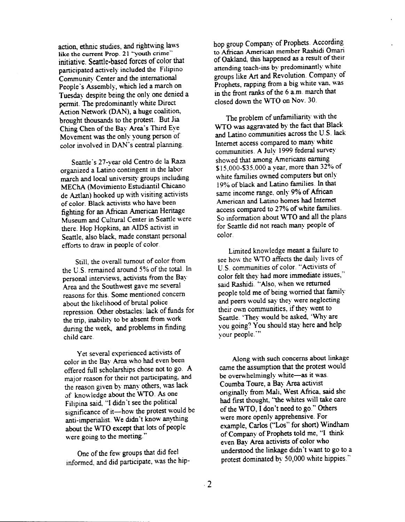participated actively included the Filipino Tuesday despite being the only one denied a PERMIT THE PREDOMINANTLY WHITE DIRECT CLOSED down the WTO on Nov. 30. Action Network (DAN), a huge coalition, brought thousands to the protest. But Jia The problem of unfamiliarity with the Ching Chen of the Bay Area's Third Eye WTO was aggravated by the fact that Black color involved in DAN's central planning.

organized a Latino contingent in the labor<br>march and local university groups including<br>white families owned computers but only march and local university groups including MEChA (Movimiento Estudiantil Chicano 19% of black and Latino families. In that<br>de Aztlan) hooked un with visiting activists same income range, only 9% of African de Aztlan) hooked up with visiting activists same income range, only 9% of African<br>of color. Black activists who have been **American and Latino homes had Internet** of color. Black activists who have been Fighting for an African American Heritage access compared to 27% of white families.<br>Museum and Cultural Center in Seattle were So information about WTO and all the plan there. Hop Hopkins, an AIDS activist in Seattle, also black, made constant personal color. efforts to draw in people of color.

the U.S. remained around 5% of the total. In U.S. communities of color. "Activists of personal interviews activists from the Bay personal interviews, activists from the Bay Area and the Southwest gave me several said Rashidi "Also, when we returned reasons for this. Some mentioned concern people told me of being worried that family about the likelihood of brutal police<br>
and peers would say they were neglecting<br>
consection. Other obstacles: lack of funds for their own communities, if they went to repression. Other obstacles: lack of funds for<br>the trip, inability to be absent from work during the week, and problems in finding child care. A child care of the contract of the contract of the contract of the contract of the contract of the contract of the contract of the contract of the contract of the contract of the contract of the contract of th

Yet several experienced activists of Color in the Bay Area who had even been<br>
afford full scholarships chose not to go. A came the assumption that the protest would offered full scholarships chose not to go. A came the assumption that the protest v<br>major reason for their not participating and be overwhelmingly white—as it was. major reason for their not participating, and<br>the reason given by many others, was lack Coumba Toure, a Bay Area activist the reason given by many others, was lack<br>originally from Mali. West Africa, said she<br>originally from Mali. West Africa, said she of knowledge about the WTO. As one originally from Mali, west Africa, said she<br>Filipine axid "I didn't see the political had first thought, "the whites will take care Filipina said, "I didn't see the political had first thought, "the whites will take care first thought of the WTO, I don't need to go." Others significance of it—how the protest would be of the WTO, I don't need to go." Oth ortiginnerialist We didn't know anything were more openly apprehensive. For anti-imperialist. We didn't know anything were more openly apprehensive. For<br>should be NTO werent that lots of people example. Carlos ("Los" for short) Windham about the WTO except that lots of people were going to the meeting." of Company of Prophets told me, "I think

informed, and did participate, was the hip-

action, ethnic studies, and rightwing laws hop group Company of Prophets. According LINCH, CHILIC, CHILIC, CHILIC, CHILIC, CHILIC, CHILIC, CHILIC, CHILIC, CHILIC, CHILICAN AMERICAN American member Rashidi Omani Initiative. Seattle-based forces of color that of Oakland, this happened as a result of their<br>narticipated actively included the Filipino attending teach-ins by predominantly white Community Center and the international groups like Art and Revolution. Company of People's Assembly, which led a march on Prophets, rapping from a big white van, was<br>Tuesday despite being the only one denied a in the front ranks of the 6 a.m. march that

Movement was the only young person of and Latino communities across the U.S. lack<br>color involved in DAN's central planning linternet access compared to many white communities. A July 1999 federal survey Seattle's 27-year old Centro de la Raza showed that among Americans earning So information about WTO and all the plans<br>for Seattle did not reach many people of

Limited knowledge meant a failure to Still, the overall turnout of color from see how the WTO affects the daily lives of Seattle. 'They would be asked, 'Why are<br>vou going? You should stay here and help

even Bay Area activists of color who One of the few groups that did feel understood the linkage didn't want to go to a<br>structure was the hin-<br>protest dominated by 50,000 white hippies."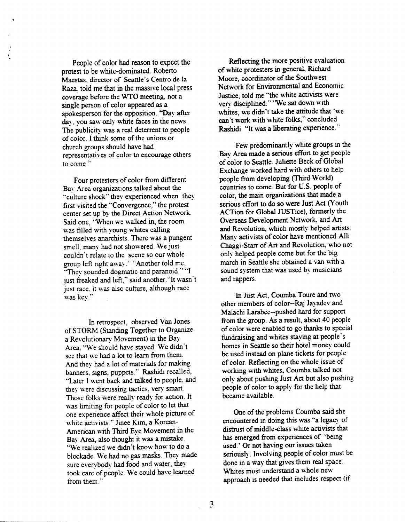Protest to be white-dominated. Roberto of white protesters in general, Richard Maestas, director of Seattle's Centro de la Moore, coordinator of the Southwest<br>Raza told me that in the massive local press Network for Enviro Raza, told me that in the massive local press Network for Environmental and Economic<br>coverage before the WTO meeting, not a lustice, told me "the white activists were coverage before the WTO meeting, not a single person of color appeared as a very disciplined." "We sat down with spokesperson for the opposition. "Day after whites, we didn't take the attitude that 'we day you saw only white faces in the news can't work with white folks," concluded day, you saw only white faces in the news can't work with white folks, concluded<br>The nublicity was a real deterrent to people Rashidi. "It was a liberating experience." The publicity was a real deterrent to people of color. I think some of the unions or church groups should have had<br>
Few predominantly white groups in the<br>
representatives of color to encourage others<br>
Bav Area made a serious effort to get people representatives of color to encourage others to come." of color to Seattle. Juliette Beck of Global

Ł

Bay Area organizations talked about the countries to come. But for U.S. people of "culture shock" they experienced when they color, the main organizations that made a "culture shock" they experienced when they first visited the "Convergence," the protest serious effort to do so were Just Act (Youth<br>center set un by the Direct Action Network. ACTion for Global JUSTice), formerly the center set up by the Direct Action Network. Said one, "When we walked in, the room Overseas Development Network, and Art<br>was filled with young whites calling and Revolution, which mostly helped artists. was filled with young whites calling themselves anarchists. There was a pungent Many activists of color have mentioned Alli smell, many had not showered. We just<br>
couldn't relate to the scene so our whole<br>
only helped people come but for the big couldn't relate to the scene so our whole group left right away." "Another told me, march in Seattle she obtained a van with a<br>"They sounded dogmatic and paranoid." "I sound system that was used by musicians "They sounded dogmatic and paranoid." "I just freaked and left." said another."It wasn't and rappers. just race, it was also culture, although race Was key." **In Just Act, Coumba Toure and two** 

of STORM (Standing Together to Organize of color were enabled to go thanks to special or Special To Special To Special To Special To Special To Go thanks to special to go thanks to special to go thanks to special and white a Revolutionary Movement) in the Bay Area, "We should have stayed. We didn't homes in Seattle so their hotel money could<br>see that we had a lot to learn from them. be used instead on plane tickets for people See that we had a lot to learn from them.<br>And they had a lot of materials for making of color. Reflecting on the whole issue of And they had a lot of materials for making of color Reflecting on the whole issue of hanners signs numers "Rashidi recalled. working with whites, Coumba talked not "Later I went back and talked to people, and they were discussing tactics, very smart.<br>Those folks were really ready for action. It became available. Those folks were really ready for action. It was limiting for people of color to let that One experience affect their whole picture of One of the problems Coumba said she<br>white activists "lines Kim a Korean-<br>encountered in doing this was "a legacy of white activists." Jinee Kim, a Korean-<br>A merican with Third Eve Movement in the distrust of middle-class white activists that American with Third Eye Movement in the distrust of middle-class white activists that<br>Bay Area, also thought it was a mistake has emerged from experiences of 'being Bay Area, also thought it was a mistake.<br>We realized we didn't know how to do a used.' Or not having our issues taken "We realized we didn't know how to do a used.' Or not having our issues taken<br>blockade. We had no gas masks. They made seriously. Involving people of color must be blockade. We had no gas masks. They made seriously. Involving people of color must<br>sure everybody had food and water they done in a way that gives them real space. sure everybody had food and water, they done in a way that gives them real space is now done in a way that gives them real space took care of people. We could have learned from them."<br>
From them." The matrix of the subset of the subset of the subset of the subset of the subset of the subset of the subset of the subset of the subset of the subset of the subset of the subset of the subset of t

People of color had reason to expect the<br>
test to be white-dominated. Roberto<br>
of white protesters in general, Richard

Exchange worked hard with others to help Four protesters of color from different people from developing (Third World)

other members of color--Raj Javadev and Malachi Larabee--pushed hard for support In retrospect, observed Van Jones from the group. As a result, about 40 people<br>RM (Standing Together to Organize of color were enabled to go thanks to special banners, signs, puppets." Rashidi recalled, working with whites, Coumba talked not<br>"Later Lyjent back and talked to neonle, and only about pushing Just Act but also pushing

3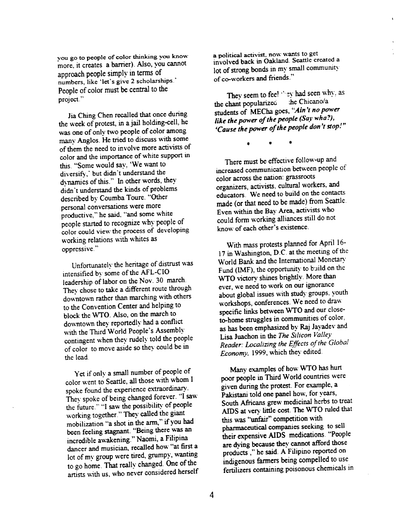more, it creates a barrier). Also, you cannot approach people simply in terms of lot of strong bonds in my small community<br>numbers like 'let's give 2 scholarships of co-workers and friends." numbers, like 'let's give 2 scholarships.' People of color must be central to the project."

The week of protest, in a jail holding-cell, he like the power of the people (Say wha?),<br>was one of only two people of color among 'Cause the power of the people don't stop many Anglos. He tried to discuss with some of them the need to involve more activists of color and the importance of white support in There must be effective follow-up and this "Some would say, 'We want to There must be effective follow-up and diversify, but didn't understand the<br>diversify, but didn't understand the increased communication between people of<br>dimension of this "In other words, they color across the nation: grassroots dynamics of this." In other words, they didn't understand the kinds of problems described by Coumba Toure. "Other educators. We need to build on the contacts described by Coumba Toure. "Other people started to recognize why people of could form working alliances stracture. color could view the process of developing working relations with whites as oppressive."

Unfortunately the heritage of distrust was intensified by some of the AFL-CIO leadership of labor on the Nov. 30 march.<br>They shoes to take a different route through ever, we need to work on our ignorance They chose to take a different route through ever, we need to work on our ignorance<br>dountour rather than marching with others about global issues with study groups, youth downtown rather than marching with others<br>to the Convention Center and helping to TO THE CONVENTION CENTER AND HELPING TO THE CONVERSIONS, CONFERENCES. We need to draw<br>block the WTO. Also, on the march to specific links between WTO and our close Block the WTO. Also, on the march to<br>downtown they reportedly had a conflict to-home struggles in communities of color. DOWNTOWN they reportedly had a conflict downtown they reportedly had a conflict with the Third World People's Assembly as has been emphasized by Raj Jayadev and contingent when they rudely told the people<br>
Seader: Localizing the Effects of the Global<br>
chalors to move aside so they could be in of color to move aside so they could be in  $T_{\text{total}}$  as the result of the lead.<br> $E_{\text{conormy}}$ , 1999, which they edited.

color went to Seattle, all those with whom I poor people in Third World countries we<br>experience extraordinary siven during the protest. For example, a spoke found the experience extraordinary.<br>The case of hairs abanged forever "I saw Pakistani told one panel how, for years, They spoke of being changed forever. "I saw Pakistani told one panel how, for years,<br>South Africans grew medicinal herbs to treat the future." "I saw the possibility of people working together." They called the giant MOTATING TO SHOT IT IN THE ARMIT SHOT IN THE ARMIT SHOT IN THIS WAS "unfair" competition with<br>here feeling steerant "Being there was an abarmaceutical companies seeking to sell been feeling stagnant. "Being there was an pharmaceutical companies seeking to sell<br>interesting Theories of Theories of Their expensive AIDS medications. "People incredible awakening." Naomi, a Filipina their expensive AIDS medications. "People<br>are dving because they cannot afford those dancer and musician, recalled how "at first a are dying because they cannot afford those<br>lot of my group were tired grumpy, wanting products," he said. A Filipino reported on Lot of my group were tired, grumpy, wanting products," he said. A Filipino reported on products he said. A Filipino reported on to go home. That really changed. One of the indigenous tarmers being competied to use<br>exists with us who never considered herself fertilizers containing poisonous chemicals in artists with us, who never considered herself

you go to people of color thinking you know a political activist, now wants to get<br>more it creates a harrier). Also, you cannot involved back in Oakland. Seattle created a

They seem to feel  $\frac{1}{2}$  by had seen why, as the chant popularized Jia Ching Chen recalled that once during<br>the week of protest, in a jail holding-cell, he like the power of the people (Say wha?), 'Cause the power of the people don't stop!"

 $\bullet$ 

 $\bullet$ 

organizers, activists, cultural workers, and personal conversations were more<br>productive," he said, "and some white exponential made (or that need to be made) from Seattle.<br>Even within the Bay Area, activists who Even within the Bay Area, activists who could form working alliances still do not

> With mass protests planned for April 16-17 in Washington, D.C. at the meeting of the World Bank and the International Monetary Fund (IMF), the opportunity to build on the WTO victory shines brightly. More than as has been emphasized by Raj Jayadev and<br>Lisa Juachon in the The Silicon Valley

Yet if only a small number of people of Many examples of how WTO has hurt<br>les wont to Senttle, all those with whom I poor people in Third World countries were AIDS at very little cost. The WTO ruled that